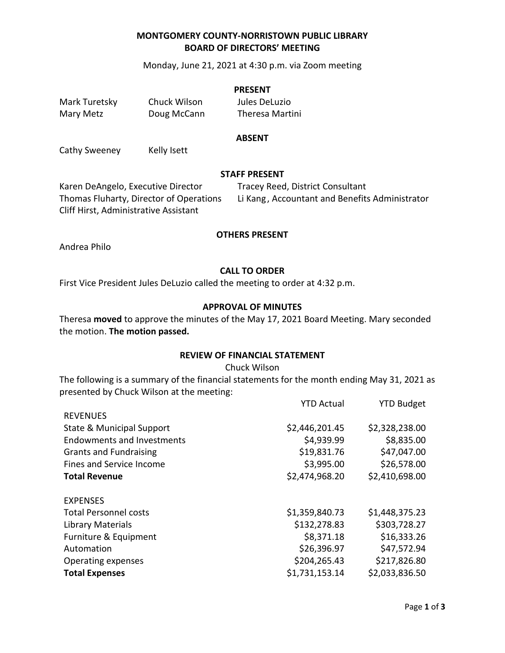# **MONTGOMERY COUNTY-NORRISTOWN PUBLIC LIBRARY BOARD OF DIRECTORS' MEETING**

Monday, June 21, 2021 at 4:30 p.m. via Zoom meeting

#### **PRESENT**

Mark Turetsky Chuck Wilson Jules DeLuzio

Mary Metz **Doug McCann** Theresa Martini

#### **ABSENT**

Cathy Sweeney Kelly Isett

#### **STAFF PRESENT**

Karen DeAngelo, Executive Director Tracey Reed, District Consultant Cliff Hirst, Administrative Assistant

Thomas Fluharty, Director of Operations Li Kang , Accountant and Benefits Administrator

YTD Actual YTD Budget

### **OTHERS PRESENT**

Andrea Philo

## **CALL TO ORDER**

First Vice President Jules DeLuzio called the meeting to order at 4:32 p.m.

#### **APPROVAL OF MINUTES**

Theresa **moved** to approve the minutes of the May 17, 2021 Board Meeting. Mary seconded the motion. **The motion passed.**

### **REVIEW OF FINANCIAL STATEMENT**

Chuck Wilson

The following is a summary of the financial statements for the month ending May 31, 2021 as presented by Chuck Wilson at the meeting:

| TTD ACLUAI     | TTD DUUKEL     |
|----------------|----------------|
|                |                |
| \$2,446,201.45 | \$2,328,238.00 |
| \$4,939.99     | \$8,835.00     |
| \$19,831.76    | \$47,047.00    |
| \$3,995.00     | \$26,578.00    |
| \$2,474,968.20 | \$2,410,698.00 |
|                |                |
| \$1,359,840.73 | \$1,448,375.23 |
| \$132,278.83   | \$303,728.27   |
| \$8,371.18     | \$16,333.26    |
| \$26,396.97    | \$47,572.94    |
| \$204,265.43   | \$217,826.80   |
| \$1,731,153.14 | \$2,033,836.50 |
|                |                |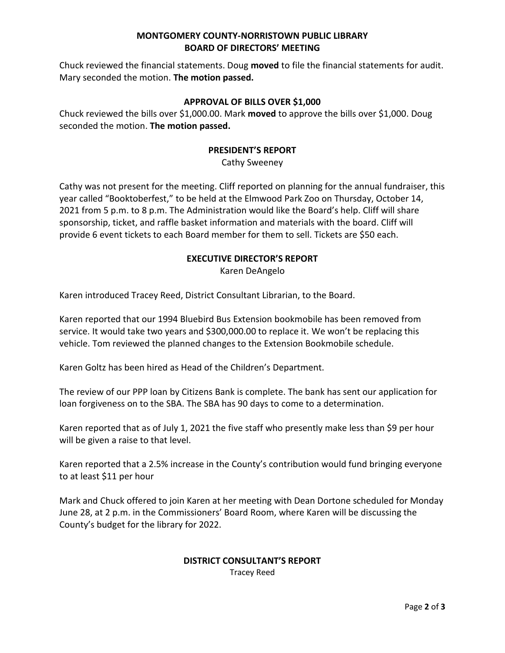# **MONTGOMERY COUNTY-NORRISTOWN PUBLIC LIBRARY BOARD OF DIRECTORS' MEETING**

Chuck reviewed the financial statements. Doug **moved** to file the financial statements for audit. Mary seconded the motion. **The motion passed.** 

# **APPROVAL OF BILLS OVER \$1,000**

Chuck reviewed the bills over \$1,000.00. Mark **moved** to approve the bills over \$1,000. Doug seconded the motion. **The motion passed.**

# **PRESIDENT'S REPORT**

Cathy Sweeney

Cathy was not present for the meeting. Cliff reported on planning for the annual fundraiser, this year called "Booktoberfest," to be held at the Elmwood Park Zoo on Thursday, October 14, 2021 from 5 p.m. to 8 p.m. The Administration would like the Board's help. Cliff will share sponsorship, ticket, and raffle basket information and materials with the board. Cliff will provide 6 event tickets to each Board member for them to sell. Tickets are \$50 each.

# **EXECUTIVE DIRECTOR'S REPORT** Karen DeAngelo

Karen introduced Tracey Reed, District Consultant Librarian, to the Board.

Karen reported that our 1994 Bluebird Bus Extension bookmobile has been removed from service. It would take two years and \$300,000.00 to replace it. We won't be replacing this vehicle. Tom reviewed the planned changes to the Extension Bookmobile schedule.

Karen Goltz has been hired as Head of the Children's Department.

The review of our PPP loan by Citizens Bank is complete. The bank has sent our application for loan forgiveness on to the SBA. The SBA has 90 days to come to a determination.

Karen reported that as of July 1, 2021 the five staff who presently make less than \$9 per hour will be given a raise to that level.

Karen reported that a 2.5% increase in the County's contribution would fund bringing everyone to at least \$11 per hour

Mark and Chuck offered to join Karen at her meeting with Dean Dortone scheduled for Monday June 28, at 2 p.m. in the Commissioners' Board Room, where Karen will be discussing the County's budget for the library for 2022.

## **DISTRICT CONSULTANT'S REPORT** Tracey Reed